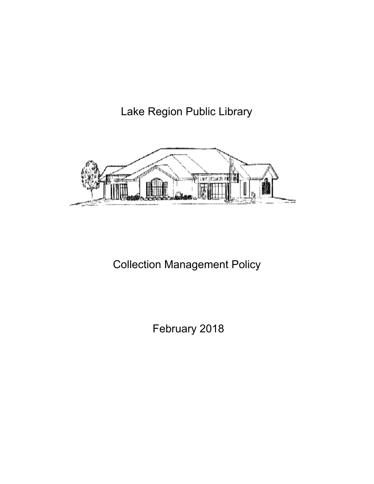Lake Region Public Library



# Collection Management Policy

February 2018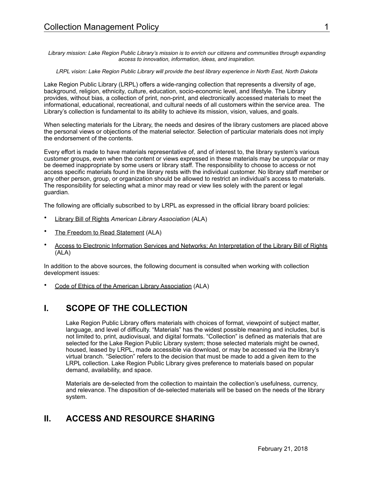*Library mission: Lake Region Public Library's mission is to enrich our citizens and communities through expanding access to innovation, information, ideas, and inspiration.* 

#### *LRPL vision: Lake Region Public Library will provide the best library experience in North East, North Dakota*

Lake Region Public Library (LRPL) offers a wide-ranging collection that represents a diversity of age, background, religion, ethnicity, culture, education, socio-economic level, and lifestyle. The Library provides, without bias, a collection of print, non-print, and electronically accessed materials to meet the informational, educational, recreational, and cultural needs of all customers within the service area. The Library's collection is fundamental to its ability to achieve its mission, vision, values, and goals.

When selecting materials for the Library, the needs and desires of the library customers are placed above the personal views or objections of the material selector. Selection of particular materials does not imply the endorsement of the contents.

Every effort is made to have materials representative of, and of interest to, the library system's various customer groups, even when the content or views expressed in these materials may be unpopular or may be deemed inappropriate by some users or library staff. The responsibility to choose to access or not access specific materials found in the library rests with the individual customer. No library staff member or any other person, group, or organization should be allowed to restrict an individual's access to materials. The responsibility for selecting what a minor may read or view lies solely with the parent or legal guardian.

The following are officially subscribed to by LRPL as expressed in the official library board policies:

- [Library Bill of Rights](http://www.ala.org/ala/issuesadvocacy/intfreedom/librarybill/index.cfm) *American Library Association* (ALA)
- [The Freedom to Read Statement](http://www.ala.org/ala/aboutala/offices/oif/statementspols/ftrstatement/freedomreadstatement.cfm) (ALA)
- [Access to Electronic Information Services and Networks: An Interpretation of the Library Bill of Rights](http://www.ala.org/ala/aboutala/offices/oif/statementspols/statementsif/interpretations/accesstoelectronic.pdf) (ALA)

In addition to the above sources, the following document is consulted when working with collection development issues:

• [Code of Ethics of the American Library Association](http://www.ala.org/ala/issuesadvocacy/proethics/codeofethics/codeethics.cfm) (ALA)

### **I. SCOPE OF THE COLLECTION**

Lake Region Public Library offers materials with choices of format, viewpoint of subject matter, language, and level of difficulty. "Materials" has the widest possible meaning and includes, but is not limited to, print, audiovisual, and digital formats. "Collection" is defined as materials that are selected for the Lake Region Public Library system; those selected materials might be owned, housed, leased by LRPL, made accessible via download, or may be accessed via the library's virtual branch. "Selection" refers to the decision that must be made to add a given item to the LRPL collection. Lake Region Public Library gives preference to materials based on popular demand, availability, and space.

Materials are de-selected from the collection to maintain the collection's usefulness, currency, and relevance. The disposition of de-selected materials will be based on the needs of the library system.

### **II. ACCESS AND RESOURCE SHARING**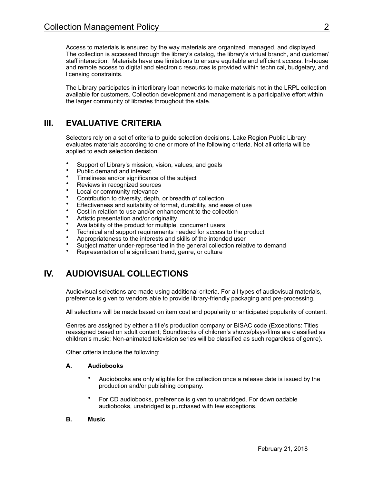Access to materials is ensured by the way materials are organized, managed, and displayed. The collection is accessed through the library's catalog, the library's virtual branch, and customer/ staff interaction. Materials have use limitations to ensure equitable and efficient access. In-house and remote access to digital and electronic resources is provided within technical, budgetary, and licensing constraints.

The Library participates in interlibrary loan networks to make materials not in the LRPL collection available for customers. Collection development and management is a participative effort within the larger community of libraries throughout the state.

# **III. EVALUATIVE CRITERIA**

Selectors rely on a set of criteria to guide selection decisions. Lake Region Public Library evaluates materials according to one or more of the following criteria. Not all criteria will be applied to each selection decision.

- Support of Library's mission, vision, values, and goals
- Public demand and interest<br>• Finalinese and/or cignifican
- Timeliness and/or significance of the subject
- Reviews in recognized sources
- Local or community relevance
- Contribution to diversity, depth, or breadth of collection
- Effectiveness and suitability of format, durability, and ease of use
- Cost in relation to use and/or enhancement to the collection
- Artistic presentation and/or originality
- Availability of the product for multiple, concurrent users
- Technical and support requirements needed for access to the product
- Appropriateness to the interests and skills of the intended user
- Subject matter under-represented in the general collection relative to demand
- Representation of a significant trend, genre, or culture

# **IV. AUDIOVISUAL COLLECTIONS**

Audiovisual selections are made using additional criteria. For all types of audiovisual materials, preference is given to vendors able to provide library-friendly packaging and pre-processing.

All selections will be made based on item cost and popularity or anticipated popularity of content.

Genres are assigned by either a title's production company or BISAC code (Exceptions: Titles reassigned based on adult content; Soundtracks of children's shows/plays/films are classified as children's music; Non-animated television series will be classified as such regardless of genre).

Other criteria include the following:

#### **A. Audiobooks**

- Audiobooks are only eligible for the collection once a release date is issued by the production and/or publishing company.
- For CD audiobooks, preference is given to unabridged. For downloadable audiobooks, unabridged is purchased with few exceptions.

#### **B. Music**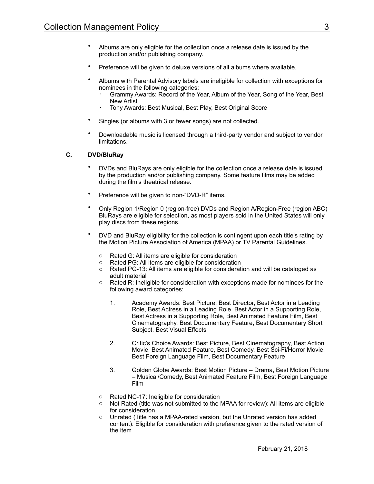- Albums are only eligible for the collection once a release date is issued by the production and/or publishing company.
- Preference will be given to deluxe versions of all albums where available.
- Albums with Parental Advisory labels are ineligible for collection with exceptions for nominees in the following categories:
	- · Grammy Awards: Record of the Year, Album of the Year, Song of the Year, Best New Artist
	- · Tony Awards: Best Musical, Best Play, Best Original Score
- Singles (or albums with 3 or fewer songs) are not collected.
- Downloadable music is licensed through a third-party vendor and subject to vendor limitations.

#### **C. DVD/BluRay**

- DVDs and BluRays are only eligible for the collection once a release date is issued by the production and/or publishing company. Some feature films may be added during the film's theatrical release.
- Preference will be given to non-"DVD-R" items.
- Only Region 1/Region 0 (region-free) DVDs and Region A/Region-Free (region ABC) BluRays are eligible for selection, as most players sold in the United States will only play discs from these regions.
- DVD and BluRay eligibility for the collection is contingent upon each title's rating by the Motion Picture Association of America (MPAA) or TV Parental Guidelines.
	- o Rated G: All items are eligible for consideration
	- o Rated PG: All items are eligible for consideration
	- o Rated PG-13: All items are eligible for consideration and will be cataloged as adult material
	- o Rated R: Ineligible for consideration with exceptions made for nominees for the following award categories:
		- 1. Academy Awards: Best Picture, Best Director, Best Actor in a Leading Role, Best Actress in a Leading Role, Best Actor in a Supporting Role, Best Actress in a Supporting Role, Best Animated Feature Film, Best Cinematography, Best Documentary Feature, Best Documentary Short Subject, Best Visual Effects
		- 2. Critic's Choice Awards: Best Picture, Best Cinematography, Best Action Movie, Best Animated Feature, Best Comedy, Best Sci-Fi/Horror Movie, Best Foreign Language Film, Best Documentary Feature
		- 3. Golden Globe Awards: Best Motion Picture Drama, Best Motion Picture – Musical/Comedy, Best Animated Feature Film, Best Foreign Language Film
	- o Rated NC-17: Ineligible for consideration
	- Not Rated (title was not submitted to the MPAA for review): All items are eligible for consideration
	- o Unrated (Title has a MPAA-rated version, but the Unrated version has added content): Eligible for consideration with preference given to the rated version of the item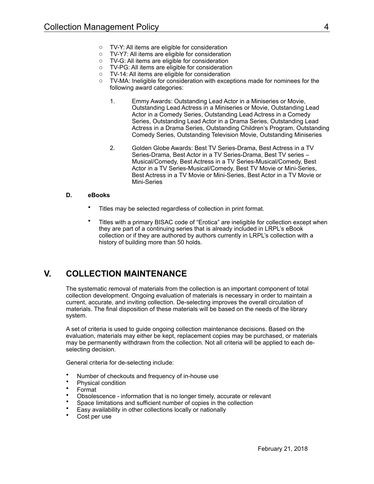- o TV-Y: All items are eligible for consideration
- o TV-Y7: All items are eligible for consideration
- o TV-G: All items are eligible for consideration
- o TV-PG: All items are eligible for consideration
- o TV-14: All items are eligible for consideration
- TV-MA: Ineligible for consideration with exceptions made for nominees for the following award categories:
	- 1. Emmy Awards: Outstanding Lead Actor in a Miniseries or Movie, Outstanding Lead Actress in a Miniseries or Movie, Outstanding Lead Actor in a Comedy Series, Outstanding Lead Actress in a Comedy Series, Outstanding Lead Actor in a Drama Series, Outstanding Lead Actress in a Drama Series, Outstanding Children's Program, Outstanding Comedy Series, Outstanding Television Movie, Outstanding Miniseries
	- 2. Golden Globe Awards: Best TV Series-Drama, Best Actress in a TV Series-Drama, Best Actor in a TV Series-Drama, Best TV series – Musical/Comedy, Best Actress in a TV Series-Musical/Comedy, Best Actor in a TV Series-Musical/Comedy, Best TV Movie or Mini-Series, Best Actress in a TV Movie or Mini-Series, Best Actor in a TV Movie or Mini-Series

#### **D. eBooks**

- Titles may be selected regardless of collection in print format.
- Titles with a primary BISAC code of "Erotica" are ineligible for collection except when they are part of a continuing series that is already included in LRPL's eBook collection or if they are authored by authors currently in LRPL's collection with a history of building more than 50 holds.

### **V. COLLECTION MAINTENANCE**

The systematic removal of materials from the collection is an important component of total collection development. Ongoing evaluation of materials is necessary in order to maintain a current, accurate, and inviting collection. De-selecting improves the overall circulation of materials. The final disposition of these materials will be based on the needs of the library system.

A set of criteria is used to guide ongoing collection maintenance decisions. Based on the evaluation, materials may either be kept, replacement copies may be purchased, or materials may be permanently withdrawn from the collection. Not all criteria will be applied to each deselecting decision.

General criteria for de-selecting include:

- Number of checkouts and frequency of in-house use
- Physical condition
- Format
- Obsolescence information that is no longer timely, accurate or relevant
- Space limitations and sufficient number of copies in the collection
- Easy availability in other collections locally or nationally
- Cost per use